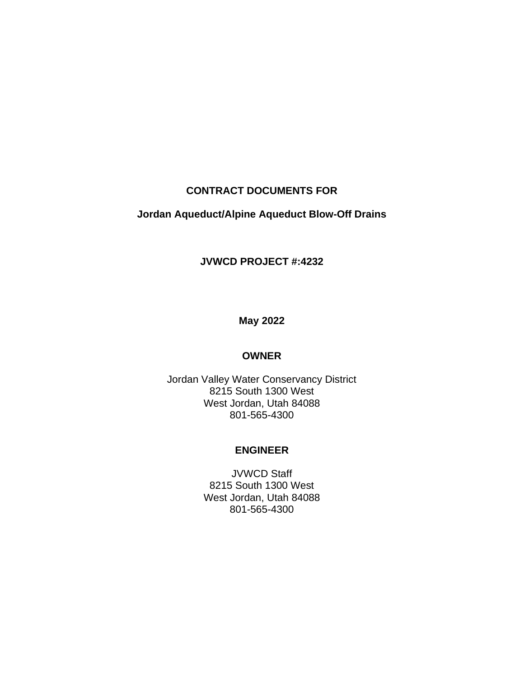# **CONTRACT DOCUMENTS FOR**

# **Jordan Aqueduct/Alpine Aqueduct Blow-Off Drains**

#### **JVWCD PROJECT #:4232**

# **May 2022**

#### **OWNER**

Jordan Valley Water Conservancy District 8215 South 1300 West West Jordan, Utah 84088 801-565-4300

#### **ENGINEER**

JVWCD Staff 8215 South 1300 West West Jordan, Utah 84088 801-565-4300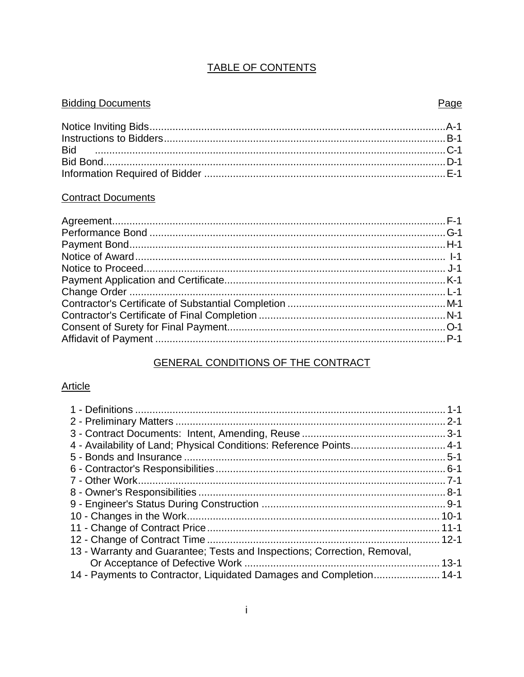# **TABLE OF CONTENTS**

# **Bidding Documents**

#### **Contract Documents**

# GENERAL CONDITIONS OF THE CONTRACT

# **Article**

| 4 - Availability of Land; Physical Conditions: Reference Points 4-1      |  |
|--------------------------------------------------------------------------|--|
|                                                                          |  |
|                                                                          |  |
|                                                                          |  |
|                                                                          |  |
|                                                                          |  |
|                                                                          |  |
|                                                                          |  |
|                                                                          |  |
| 13 - Warranty and Guarantee; Tests and Inspections; Correction, Removal, |  |
|                                                                          |  |
| 14 - Payments to Contractor, Liquidated Damages and Completion 14-1      |  |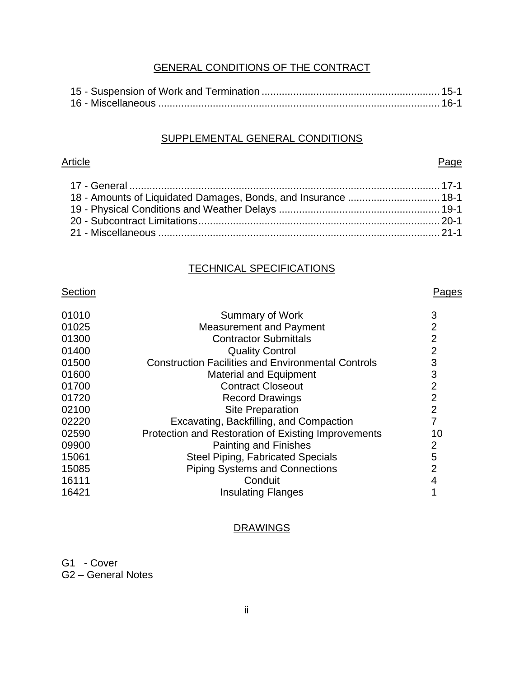# GENERAL CONDITIONS OF THE CONTRACT

#### SUPPLEMENTAL GENERAL CONDITIONS

#### Article **Page**

#### TECHNICAL SPECIFICATIONS

#### Section **Pages**

| 01010 | <b>Summary of Work</b>                                    | 3              |
|-------|-----------------------------------------------------------|----------------|
| 01025 | <b>Measurement and Payment</b>                            | $\overline{2}$ |
| 01300 | <b>Contractor Submittals</b>                              | 2              |
| 01400 | <b>Quality Control</b>                                    | $\overline{2}$ |
| 01500 | <b>Construction Facilities and Environmental Controls</b> | 3              |
| 01600 | <b>Material and Equipment</b>                             | 3              |
| 01700 | <b>Contract Closeout</b>                                  | $\overline{2}$ |
| 01720 | <b>Record Drawings</b>                                    | $\overline{2}$ |
| 02100 | <b>Site Preparation</b>                                   | $\overline{2}$ |
| 02220 | Excavating, Backfilling, and Compaction                   |                |
| 02590 | Protection and Restoration of Existing Improvements       | 10             |
| 09900 | <b>Painting and Finishes</b>                              | 2              |
| 15061 | <b>Steel Piping, Fabricated Specials</b>                  | 5              |
| 15085 | <b>Piping Systems and Connections</b>                     | 2              |
| 16111 | Conduit                                                   | 4              |
| 16421 | <b>Insulating Flanges</b>                                 |                |

# **DRAWINGS**

G1 - Cover

G2 – General Notes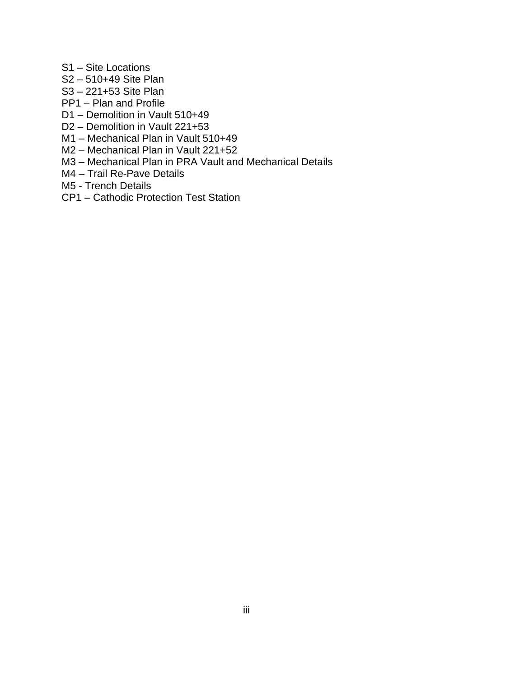- S1 Site Locations
- S2 510+49 Site Plan
- S3 221+53 Site Plan
- PP1 Plan and Profile
- D1 Demolition in Vault 510+49
- D2 Demolition in Vault 221+53
- M1 Mechanical Plan in Vault 510+49
- M2 Mechanical Plan in Vault 221+52
- M3 Mechanical Plan in PRA Vault and Mechanical Details
- M4 Trail Re-Pave Details
- M5 Trench Details
- CP1 Cathodic Protection Test Station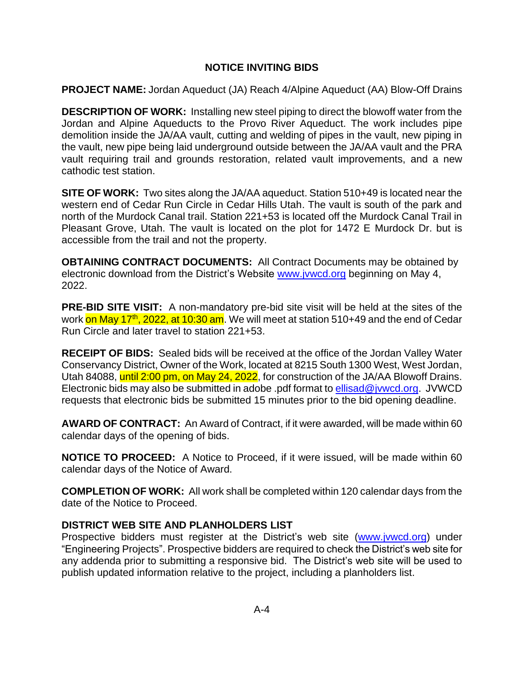# **NOTICE INVITING BIDS**

**PROJECT NAME:** Jordan Aqueduct (JA) Reach 4/Alpine Aqueduct (AA) Blow-Off Drains

**DESCRIPTION OF WORK:** Installing new steel piping to direct the blowoff water from the Jordan and Alpine Aqueducts to the Provo River Aqueduct. The work includes pipe demolition inside the JA/AA vault, cutting and welding of pipes in the vault, new piping in the vault, new pipe being laid underground outside between the JA/AA vault and the PRA vault requiring trail and grounds restoration, related vault improvements, and a new cathodic test station.

**SITE OF WORK:** Two sites along the JA/AA aqueduct. Station 510+49 is located near the western end of Cedar Run Circle in Cedar Hills Utah. The vault is south of the park and north of the Murdock Canal trail. Station 221+53 is located off the Murdock Canal Trail in Pleasant Grove, Utah. The vault is located on the plot for 1472 E Murdock Dr. but is accessible from the trail and not the property.

**OBTAINING CONTRACT DOCUMENTS:** All Contract Documents may be obtained by electronic download from the District's Website [www.jvwcd.org](http://www.jvwcd.org/) beginning on May 4, 2022.

**PRE-BID SITE VISIT:** A non-mandatory pre-bid site visit will be held at the sites of the work <mark>on May 17<sup>th</sup>, 2022, at 10:30 am</mark>. We will meet at station 510+49 and the end of Cedar Run Circle and later travel to station 221+53.

**RECEIPT OF BIDS:** Sealed bids will be received at the office of the Jordan Valley Water Conservancy District, Owner of the Work, located at 8215 South 1300 West, West Jordan, Utah 84088, until 2:00 pm, on May 24, 2022, for construction of the JA/AA Blowoff Drains. Electronic bids may also be submitted in adobe .pdf format to [ellisad@jvwcd.org.](mailto:ellisad@jvwcd.org) JVWCD requests that electronic bids be submitted 15 minutes prior to the bid opening deadline.

**AWARD OF CONTRACT:** An Award of Contract, if it were awarded, will be made within 60 calendar days of the opening of bids.

**NOTICE TO PROCEED:** A Notice to Proceed, if it were issued, will be made within 60 calendar days of the Notice of Award.

**COMPLETION OF WORK:** All work shall be completed within 120 calendar days from the date of the Notice to Proceed.

#### **DISTRICT WEB SITE AND PLANHOLDERS LIST**

Prospective bidders must register at the District's web site [\(www.jvwcd.org\)](http://www.jvwcd.org/) under "Engineering Projects". Prospective bidders are required to check the District's web site for any addenda prior to submitting a responsive bid. The District's web site will be used to publish updated information relative to the project, including a planholders list.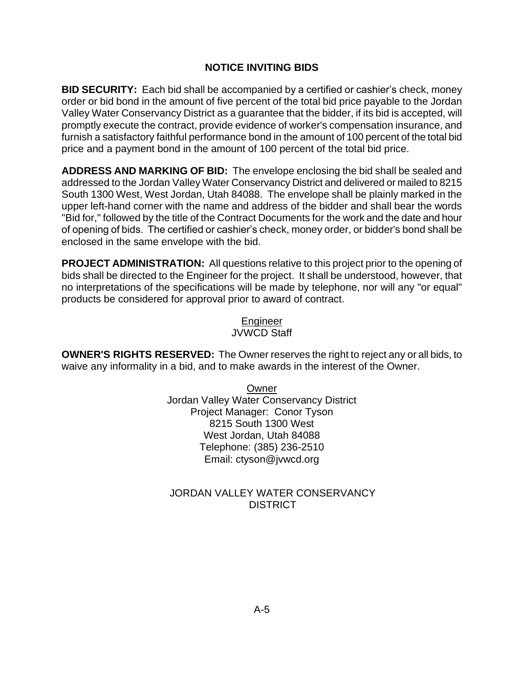# **NOTICE INVITING BIDS**

**BID SECURITY:** Each bid shall be accompanied by a certified or cashier's check, money order or bid bond in the amount of five percent of the total bid price payable to the Jordan Valley Water Conservancy District as a guarantee that the bidder, if its bid is accepted, will promptly execute the contract, provide evidence of worker's compensation insurance, and furnish a satisfactory faithful performance bond in the amount of 100 percent of the total bid price and a payment bond in the amount of 100 percent of the total bid price.

**ADDRESS AND MARKING OF BID:** The envelope enclosing the bid shall be sealed and addressed to the Jordan Valley Water Conservancy District and delivered or mailed to 8215 South 1300 West, West Jordan, Utah 84088. The envelope shall be plainly marked in the upper left-hand corner with the name and address of the bidder and shall bear the words "Bid for," followed by the title of the Contract Documents for the work and the date and hour of opening of bids. The certified or cashier's check, money order, or bidder's bond shall be enclosed in the same envelope with the bid.

**PROJECT ADMINISTRATION:** All questions relative to this project prior to the opening of bids shall be directed to the Engineer for the project. It shall be understood, however, that no interpretations of the specifications will be made by telephone, nor will any "or equal" products be considered for approval prior to award of contract.

> Engineer JVWCD Staff

**OWNER'S RIGHTS RESERVED:** The Owner reserves the right to reject any or all bids, to waive any informality in a bid, and to make awards in the interest of the Owner.

> Owner Jordan Valley Water Conservancy District Project Manager: Conor Tyson 8215 South 1300 West West Jordan, Utah 84088 Telephone: (385) 236-2510 Email: ctyson@jvwcd.org

# JORDAN VALLEY WATER CONSERVANCY **DISTRICT**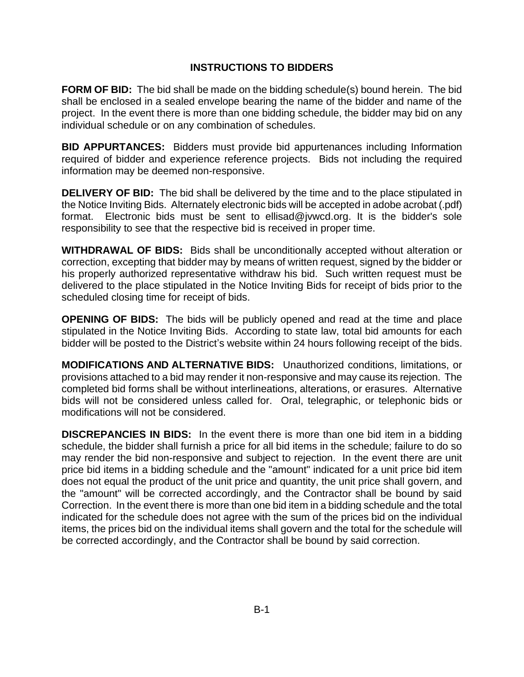**FORM OF BID:** The bid shall be made on the bidding schedule(s) bound herein. The bid shall be enclosed in a sealed envelope bearing the name of the bidder and name of the project. In the event there is more than one bidding schedule, the bidder may bid on any individual schedule or on any combination of schedules.

**BID APPURTANCES:** Bidders must provide bid appurtenances including Information required of bidder and experience reference projects. Bids not including the required information may be deemed non-responsive.

**DELIVERY OF BID:** The bid shall be delivered by the time and to the place stipulated in the Notice Inviting Bids. Alternately electronic bids will be accepted in adobe acrobat (.pdf) format. Electronic bids must be sent to ellisad@jvwcd.org. It is the bidder's sole responsibility to see that the respective bid is received in proper time.

**WITHDRAWAL OF BIDS:** Bids shall be unconditionally accepted without alteration or correction, excepting that bidder may by means of written request, signed by the bidder or his properly authorized representative withdraw his bid. Such written request must be delivered to the place stipulated in the Notice Inviting Bids for receipt of bids prior to the scheduled closing time for receipt of bids.

**OPENING OF BIDS:** The bids will be publicly opened and read at the time and place stipulated in the Notice Inviting Bids. According to state law, total bid amounts for each bidder will be posted to the District's website within 24 hours following receipt of the bids.

**MODIFICATIONS AND ALTERNATIVE BIDS:** Unauthorized conditions, limitations, or provisions attached to a bid may render it non-responsive and may cause its rejection. The completed bid forms shall be without interlineations, alterations, or erasures. Alternative bids will not be considered unless called for. Oral, telegraphic, or telephonic bids or modifications will not be considered.

**DISCREPANCIES IN BIDS:** In the event there is more than one bid item in a bidding schedule, the bidder shall furnish a price for all bid items in the schedule; failure to do so may render the bid non-responsive and subject to rejection. In the event there are unit price bid items in a bidding schedule and the "amount" indicated for a unit price bid item does not equal the product of the unit price and quantity, the unit price shall govern, and the "amount" will be corrected accordingly, and the Contractor shall be bound by said Correction. In the event there is more than one bid item in a bidding schedule and the total indicated for the schedule does not agree with the sum of the prices bid on the individual items, the prices bid on the individual items shall govern and the total for the schedule will be corrected accordingly, and the Contractor shall be bound by said correction.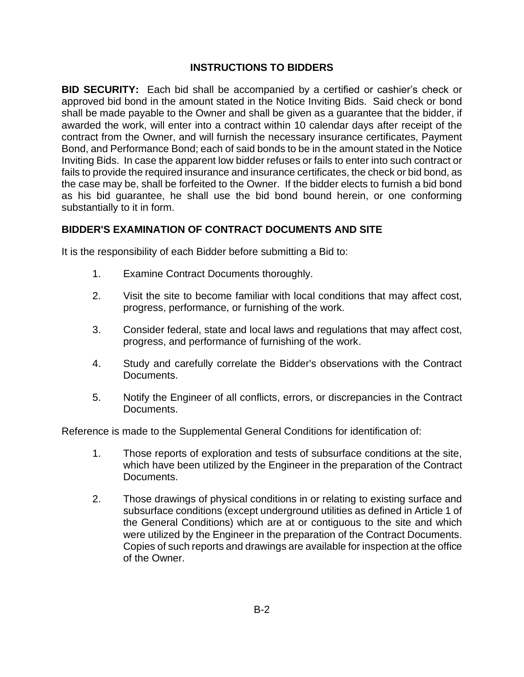**BID SECURITY:** Each bid shall be accompanied by a certified or cashier's check or approved bid bond in the amount stated in the Notice Inviting Bids. Said check or bond shall be made payable to the Owner and shall be given as a guarantee that the bidder, if awarded the work, will enter into a contract within 10 calendar days after receipt of the contract from the Owner, and will furnish the necessary insurance certificates, Payment Bond, and Performance Bond; each of said bonds to be in the amount stated in the Notice Inviting Bids. In case the apparent low bidder refuses or fails to enter into such contract or fails to provide the required insurance and insurance certificates, the check or bid bond, as the case may be, shall be forfeited to the Owner. If the bidder elects to furnish a bid bond as his bid guarantee, he shall use the bid bond bound herein, or one conforming substantially to it in form.

# **BIDDER'S EXAMINATION OF CONTRACT DOCUMENTS AND SITE**

It is the responsibility of each Bidder before submitting a Bid to:

- 1. Examine Contract Documents thoroughly.
- 2. Visit the site to become familiar with local conditions that may affect cost, progress, performance, or furnishing of the work.
- 3. Consider federal, state and local laws and regulations that may affect cost, progress, and performance of furnishing of the work.
- 4. Study and carefully correlate the Bidder's observations with the Contract Documents.
- 5. Notify the Engineer of all conflicts, errors, or discrepancies in the Contract Documents.

Reference is made to the Supplemental General Conditions for identification of:

- 1. Those reports of exploration and tests of subsurface conditions at the site, which have been utilized by the Engineer in the preparation of the Contract Documents.
- 2. Those drawings of physical conditions in or relating to existing surface and subsurface conditions (except underground utilities as defined in Article 1 of the General Conditions) which are at or contiguous to the site and which were utilized by the Engineer in the preparation of the Contract Documents. Copies of such reports and drawings are available for inspection at the office of the Owner.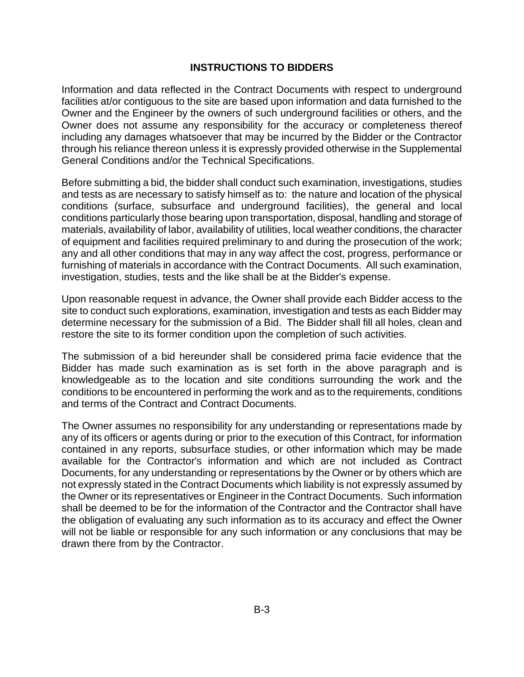Information and data reflected in the Contract Documents with respect to underground facilities at/or contiguous to the site are based upon information and data furnished to the Owner and the Engineer by the owners of such underground facilities or others, and the Owner does not assume any responsibility for the accuracy or completeness thereof including any damages whatsoever that may be incurred by the Bidder or the Contractor through his reliance thereon unless it is expressly provided otherwise in the Supplemental General Conditions and/or the Technical Specifications.

Before submitting a bid, the bidder shall conduct such examination, investigations, studies and tests as are necessary to satisfy himself as to: the nature and location of the physical conditions (surface, subsurface and underground facilities), the general and local conditions particularly those bearing upon transportation, disposal, handling and storage of materials, availability of labor, availability of utilities, local weather conditions, the character of equipment and facilities required preliminary to and during the prosecution of the work; any and all other conditions that may in any way affect the cost, progress, performance or furnishing of materials in accordance with the Contract Documents. All such examination, investigation, studies, tests and the like shall be at the Bidder's expense.

Upon reasonable request in advance, the Owner shall provide each Bidder access to the site to conduct such explorations, examination, investigation and tests as each Bidder may determine necessary for the submission of a Bid. The Bidder shall fill all holes, clean and restore the site to its former condition upon the completion of such activities.

The submission of a bid hereunder shall be considered prima facie evidence that the Bidder has made such examination as is set forth in the above paragraph and is knowledgeable as to the location and site conditions surrounding the work and the conditions to be encountered in performing the work and as to the requirements, conditions and terms of the Contract and Contract Documents.

The Owner assumes no responsibility for any understanding or representations made by any of its officers or agents during or prior to the execution of this Contract, for information contained in any reports, subsurface studies, or other information which may be made available for the Contractor's information and which are not included as Contract Documents, for any understanding or representations by the Owner or by others which are not expressly stated in the Contract Documents which liability is not expressly assumed by the Owner or its representatives or Engineer in the Contract Documents. Such information shall be deemed to be for the information of the Contractor and the Contractor shall have the obligation of evaluating any such information as to its accuracy and effect the Owner will not be liable or responsible for any such information or any conclusions that may be drawn there from by the Contractor.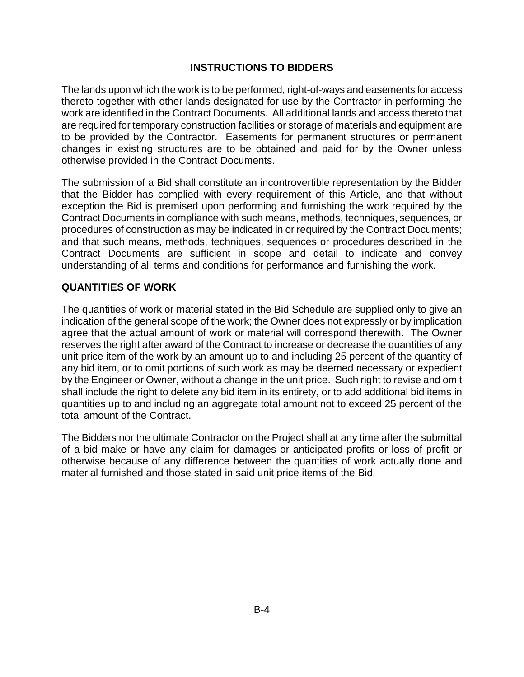The lands upon which the work is to be performed, right-of-ways and easements for access thereto together with other lands designated for use by the Contractor in performing the work are identified in the Contract Documents. All additional lands and access thereto that are required for temporary construction facilities or storage of materials and equipment are to be provided by the Contractor. Easements for permanent structures or permanent changes in existing structures are to be obtained and paid for by the Owner unless otherwise provided in the Contract Documents.

The submission of a Bid shall constitute an incontrovertible representation by the Bidder that the Bidder has complied with every requirement of this Article, and that without exception the Bid is premised upon performing and furnishing the work required by the Contract Documents in compliance with such means, methods, techniques, sequences, or procedures of construction as may be indicated in or required by the Contract Documents; and that such means, methods, techniques, sequences or procedures described in the Contract Documents are sufficient in scope and detail to indicate and convey understanding of all terms and conditions for performance and furnishing the work.

# **QUANTITIES OF WORK**

The quantities of work or material stated in the Bid Schedule are supplied only to give an indication of the general scope of the work; the Owner does not expressly or by implication agree that the actual amount of work or material will correspond therewith. The Owner reserves the right after award of the Contract to increase or decrease the quantities of any unit price item of the work by an amount up to and including 25 percent of the quantity of any bid item, or to omit portions of such work as may be deemed necessary or expedient by the Engineer or Owner, without a change in the unit price. Such right to revise and omit shall include the right to delete any bid item in its entirety, or to add additional bid items in quantities up to and including an aggregate total amount not to exceed 25 percent of the total amount of the Contract.

The Bidders nor the ultimate Contractor on the Project shall at any time after the submittal of a bid make or have any claim for damages or anticipated profits or loss of profit or otherwise because of any difference between the quantities of work actually done and material furnished and those stated in said unit price items of the Bid.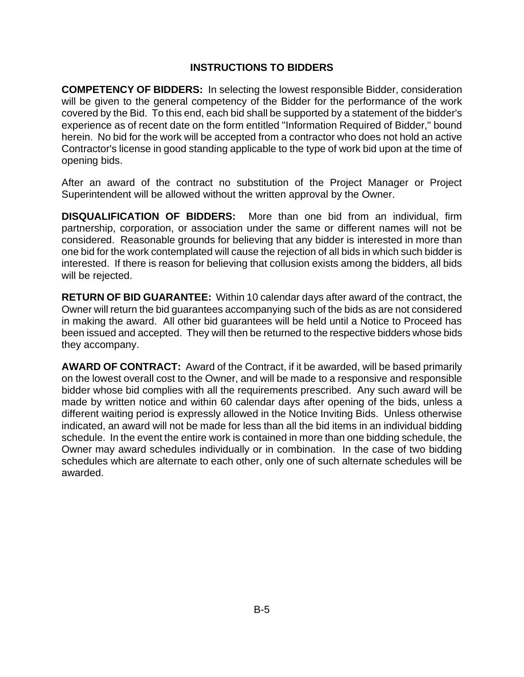**COMPETENCY OF BIDDERS:** In selecting the lowest responsible Bidder, consideration will be given to the general competency of the Bidder for the performance of the work covered by the Bid. To this end, each bid shall be supported by a statement of the bidder's experience as of recent date on the form entitled "Information Required of Bidder," bound herein. No bid for the work will be accepted from a contractor who does not hold an active Contractor's license in good standing applicable to the type of work bid upon at the time of opening bids.

After an award of the contract no substitution of the Project Manager or Project Superintendent will be allowed without the written approval by the Owner.

**DISQUALIFICATION OF BIDDERS:** More than one bid from an individual, firm partnership, corporation, or association under the same or different names will not be considered. Reasonable grounds for believing that any bidder is interested in more than one bid for the work contemplated will cause the rejection of all bids in which such bidder is interested. If there is reason for believing that collusion exists among the bidders, all bids will be rejected.

**RETURN OF BID GUARANTEE:** Within 10 calendar days after award of the contract, the Owner will return the bid guarantees accompanying such of the bids as are not considered in making the award. All other bid guarantees will be held until a Notice to Proceed has been issued and accepted. They will then be returned to the respective bidders whose bids they accompany.

**AWARD OF CONTRACT:** Award of the Contract, if it be awarded, will be based primarily on the lowest overall cost to the Owner, and will be made to a responsive and responsible bidder whose bid complies with all the requirements prescribed. Any such award will be made by written notice and within 60 calendar days after opening of the bids, unless a different waiting period is expressly allowed in the Notice Inviting Bids. Unless otherwise indicated, an award will not be made for less than all the bid items in an individual bidding schedule. In the event the entire work is contained in more than one bidding schedule, the Owner may award schedules individually or in combination. In the case of two bidding schedules which are alternate to each other, only one of such alternate schedules will be awarded.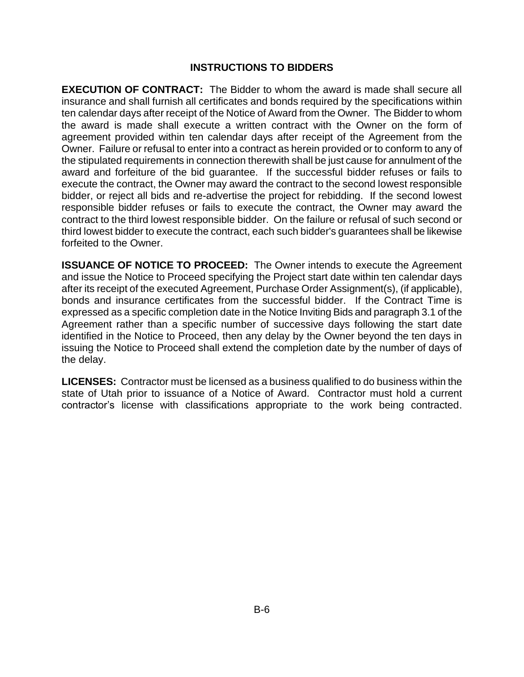**EXECUTION OF CONTRACT:** The Bidder to whom the award is made shall secure all insurance and shall furnish all certificates and bonds required by the specifications within ten calendar days after receipt of the Notice of Award from the Owner. The Bidder to whom the award is made shall execute a written contract with the Owner on the form of agreement provided within ten calendar days after receipt of the Agreement from the Owner. Failure or refusal to enter into a contract as herein provided or to conform to any of the stipulated requirements in connection therewith shall be just cause for annulment of the award and forfeiture of the bid guarantee. If the successful bidder refuses or fails to execute the contract, the Owner may award the contract to the second lowest responsible bidder, or reject all bids and re-advertise the project for rebidding. If the second lowest responsible bidder refuses or fails to execute the contract, the Owner may award the contract to the third lowest responsible bidder. On the failure or refusal of such second or third lowest bidder to execute the contract, each such bidder's guarantees shall be likewise forfeited to the Owner.

**ISSUANCE OF NOTICE TO PROCEED:** The Owner intends to execute the Agreement and issue the Notice to Proceed specifying the Project start date within ten calendar days after its receipt of the executed Agreement, Purchase Order Assignment(s), (if applicable), bonds and insurance certificates from the successful bidder. If the Contract Time is expressed as a specific completion date in the Notice Inviting Bids and paragraph 3.1 of the Agreement rather than a specific number of successive days following the start date identified in the Notice to Proceed, then any delay by the Owner beyond the ten days in issuing the Notice to Proceed shall extend the completion date by the number of days of the delay.

**LICENSES:** Contractor must be licensed as a business qualified to do business within the state of Utah prior to issuance of a Notice of Award. Contractor must hold a current contractor's license with classifications appropriate to the work being contracted.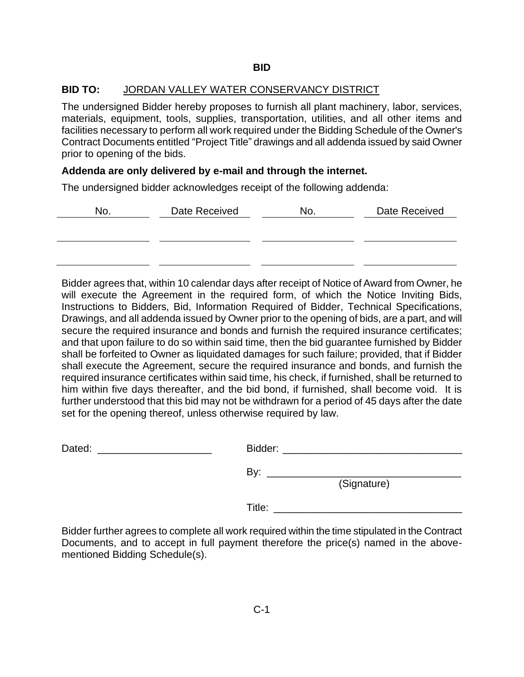The undersigned Bidder hereby proposes to furnish all plant machinery, labor, services, materials, equipment, tools, supplies, transportation, utilities, and all other items and facilities necessary to perform all work required under the Bidding Schedule of the Owner's Contract Documents entitled "Project Title" drawings and all addenda issued by said Owner prior to opening of the bids.

#### **Addenda are only delivered by e-mail and through the internet.**

The undersigned bidder acknowledges receipt of the following addenda:

| No. | Date Received | No. | Date Received |
|-----|---------------|-----|---------------|
|     |               |     |               |
|     |               |     |               |
|     |               |     |               |

Bidder agrees that, within 10 calendar days after receipt of Notice of Award from Owner, he will execute the Agreement in the required form, of which the Notice Inviting Bids, Instructions to Bidders, Bid, Information Required of Bidder, Technical Specifications, Drawings, and all addenda issued by Owner prior to the opening of bids, are a part, and will secure the required insurance and bonds and furnish the required insurance certificates; and that upon failure to do so within said time, then the bid guarantee furnished by Bidder shall be forfeited to Owner as liquidated damages for such failure; provided, that if Bidder shall execute the Agreement, secure the required insurance and bonds, and furnish the required insurance certificates within said time, his check, if furnished, shall be returned to him within five days thereafter, and the bid bond, if furnished, shall become void. It is further understood that this bid may not be withdrawn for a period of 45 days after the date set for the opening thereof, unless otherwise required by law.

| Dated: | Bidder:            |  |
|--------|--------------------|--|
|        | By:<br>(Signature) |  |
|        | Title:             |  |

Bidder further agrees to complete all work required within the time stipulated in the Contract Documents, and to accept in full payment therefore the price(s) named in the abovementioned Bidding Schedule(s).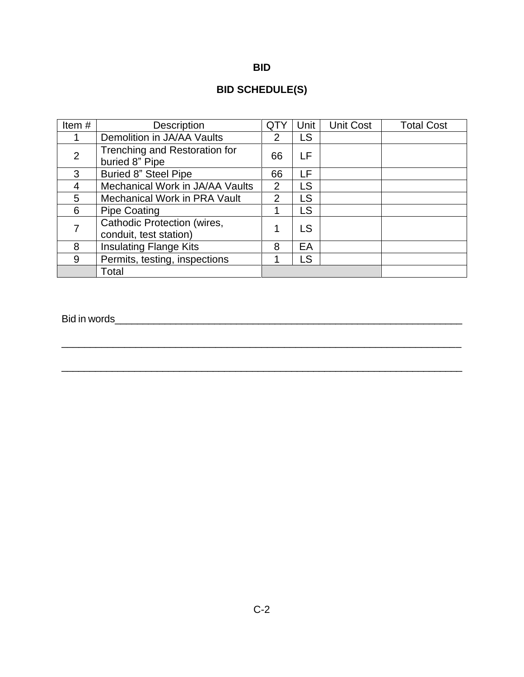| ۰, | ۰. |
|----|----|

# **BID SCHEDULE(S)**

| Item#          | Description                                                  | QT)            | Unit | <b>Unit Cost</b> | <b>Total Cost</b> |
|----------------|--------------------------------------------------------------|----------------|------|------------------|-------------------|
|                | Demolition in JA/AA Vaults                                   | 2              | LS   |                  |                   |
| $\overline{2}$ | Trenching and Restoration for<br>buried 8" Pipe              | 66             | LF   |                  |                   |
| 3              | <b>Buried 8" Steel Pipe</b>                                  | 66             | LF   |                  |                   |
| 4              | Mechanical Work in JA/AA Vaults                              | 2              | LS   |                  |                   |
| 5              | <b>Mechanical Work in PRA Vault</b>                          | $\overline{2}$ | LS   |                  |                   |
| 6              | <b>Pipe Coating</b>                                          |                | LS   |                  |                   |
|                | <b>Cathodic Protection (wires,</b><br>conduit, test station) |                | LS   |                  |                   |
| 8              | <b>Insulating Flange Kits</b>                                | 8              | EA   |                  |                   |
| 9              | Permits, testing, inspections                                |                | LS   |                  |                   |
|                | Total                                                        |                |      |                  |                   |

\_\_\_\_\_\_\_\_\_\_\_\_\_\_\_\_\_\_\_\_\_\_\_\_\_\_\_\_\_\_\_\_\_\_\_\_\_\_\_\_\_\_\_\_\_\_\_\_\_\_\_\_\_\_\_\_\_\_\_\_\_\_\_\_\_\_\_\_\_\_\_\_

\_\_\_\_\_\_\_\_\_\_\_\_\_\_\_\_\_\_\_\_\_\_\_\_\_\_\_\_\_\_\_\_\_\_\_\_\_\_\_\_\_\_\_\_\_\_\_\_\_\_\_\_\_\_\_\_\_\_\_\_\_\_\_\_\_\_\_\_\_\_

Bid in words\_\_\_\_\_\_\_\_\_\_\_\_\_\_\_\_\_\_\_\_\_\_\_\_\_\_\_\_\_\_\_\_\_\_\_\_\_\_\_\_\_\_\_\_\_\_\_\_\_\_\_\_\_\_\_\_\_\_\_\_\_\_\_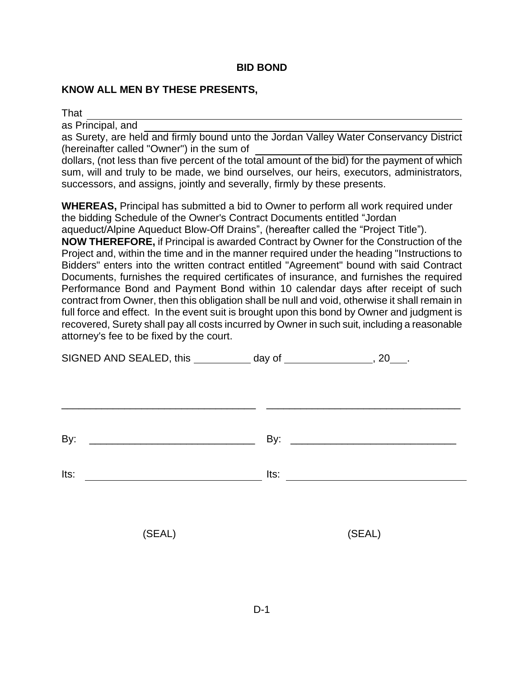#### **BID BOND**

#### **KNOW ALL MEN BY THESE PRESENTS,**

That

as Principal, and

as Surety, are held and firmly bound unto the Jordan Valley Water Conservancy District (hereinafter called "Owner") in the sum of

dollars, (not less than five percent of the total amount of the bid) for the payment of which sum, will and truly to be made, we bind ourselves, our heirs, executors, administrators, successors, and assigns, jointly and severally, firmly by these presents.

**WHEREAS,** Principal has submitted a bid to Owner to perform all work required under the bidding Schedule of the Owner's Contract Documents entitled "Jordan aqueduct/Alpine Aqueduct Blow-Off Drains", (hereafter called the "Project Title"). **NOW THEREFORE,** if Principal is awarded Contract by Owner for the Construction of the Project and, within the time and in the manner required under the heading "Instructions to Bidders" enters into the written contract entitled "Agreement" bound with said Contract Documents, furnishes the required certificates of insurance, and furnishes the required Performance Bond and Payment Bond within 10 calendar days after receipt of such contract from Owner, then this obligation shall be null and void, otherwise it shall remain in full force and effect. In the event suit is brought upon this bond by Owner and judgment is recovered, Surety shall pay all costs incurred by Owner in such suit, including a reasonable attorney's fee to be fixed by the court.

| SIGNED AND SEALED, this ____________ day of _________________, 20___. |                                  |  |
|-----------------------------------------------------------------------|----------------------------------|--|
|                                                                       |                                  |  |
| By:                                                                   |                                  |  |
| Its:<br><u> 1989 - Andrea Station Barbara, amerikan per</u>           | Its: $\overline{\qquad \qquad }$ |  |
| (SEAL)                                                                | (SEAL)                           |  |
|                                                                       |                                  |  |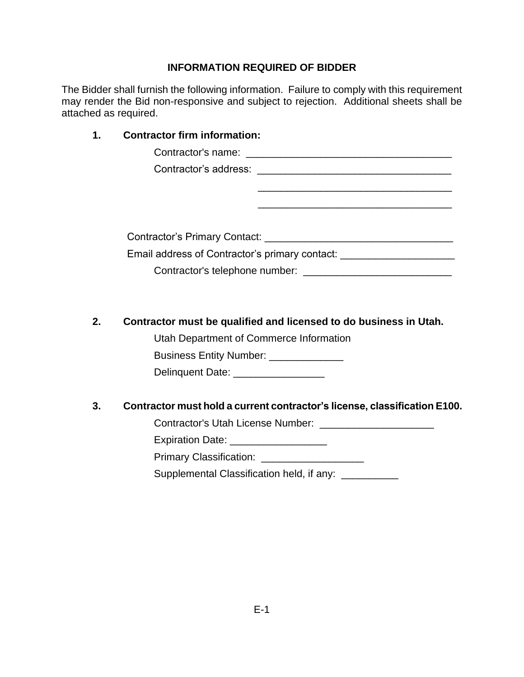The Bidder shall furnish the following information. Failure to comply with this requirement may render the Bid non-responsive and subject to rejection. Additional sheets shall be attached as required.

# **1. Contractor firm information:** Contractor's name: \_\_\_\_\_\_\_\_\_\_\_\_\_\_\_\_\_\_\_\_\_\_\_\_\_\_\_\_\_\_\_\_\_\_\_\_ Contractor's address: \_\_\_\_\_\_\_\_\_\_\_\_\_\_\_\_\_\_\_\_\_\_\_\_\_\_\_\_\_\_\_\_\_\_  $\overline{\phantom{a}}$  ,  $\overline{\phantom{a}}$  ,  $\overline{\phantom{a}}$  ,  $\overline{\phantom{a}}$  ,  $\overline{\phantom{a}}$  ,  $\overline{\phantom{a}}$  ,  $\overline{\phantom{a}}$  ,  $\overline{\phantom{a}}$  ,  $\overline{\phantom{a}}$  ,  $\overline{\phantom{a}}$  ,  $\overline{\phantom{a}}$  ,  $\overline{\phantom{a}}$  ,  $\overline{\phantom{a}}$  ,  $\overline{\phantom{a}}$  ,  $\overline{\phantom{a}}$  ,  $\overline{\phantom{a}}$  $\overline{\phantom{a}}$  , and the contract of the contract of the contract of the contract of the contract of the contract of the contract of the contract of the contract of the contract of the contract of the contract of the contrac Contractor's Primary Contact: \_\_\_\_\_\_\_\_\_\_\_\_\_\_\_\_\_\_\_\_\_\_\_\_\_\_\_\_\_\_\_\_\_ Email address of Contractor's primary contact: \_\_\_\_\_\_\_\_\_\_\_\_\_\_\_\_\_\_\_\_\_\_\_\_\_\_\_\_\_\_\_\_\_ Contractor's telephone number: \_\_\_\_\_\_\_\_\_\_\_\_\_\_\_\_\_\_\_\_\_\_\_\_\_\_

# **2. Contractor must be qualified and licensed to do business in Utah.**

Utah Department of Commerce Information Business Entity Number: \_\_\_\_\_\_\_\_\_\_\_\_\_\_ Delinquent Date: \_\_\_\_\_\_\_\_\_\_\_\_\_\_\_\_\_\_\_

# **3. Contractor must hold a current contractor's license, classification E100.**

Contractor's Utah License Number: \_\_\_\_\_\_\_\_\_\_\_\_\_\_\_\_\_\_\_\_

Expiration Date: \_\_\_\_\_\_\_\_\_\_\_\_\_\_\_\_\_\_\_

Primary Classification:

Supplemental Classification held, if any: \_\_\_\_\_\_\_\_\_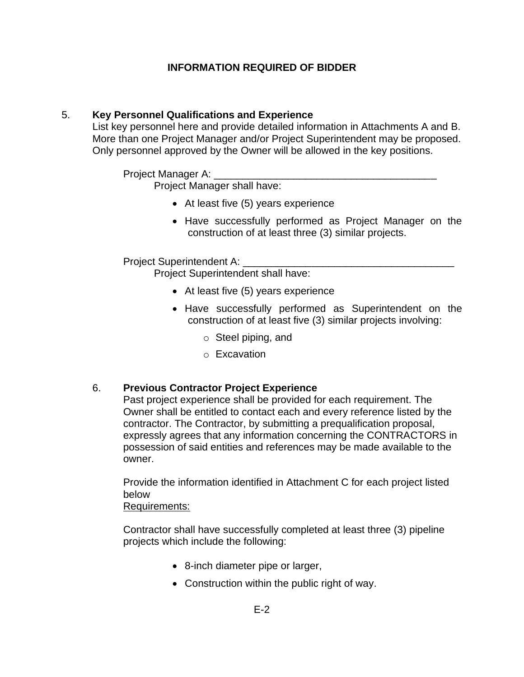# 5. **Key Personnel Qualifications and Experience**

List key personnel here and provide detailed information in Attachments A and B. More than one Project Manager and/or Project Superintendent may be proposed. Only personnel approved by the Owner will be allowed in the key positions.

Project Manager A:

Project Manager shall have:

- At least five (5) years experience
- Have successfully performed as Project Manager on the construction of at least three (3) similar projects.

Project Superintendent A:

Project Superintendent shall have:

- At least five (5) years experience
- Have successfully performed as Superintendent on the construction of at least five (3) similar projects involving:
	- o Steel piping, and
	- o Excavation

# 6. **Previous Contractor Project Experience**

Past project experience shall be provided for each requirement. The Owner shall be entitled to contact each and every reference listed by the contractor. The Contractor, by submitting a prequalification proposal, expressly agrees that any information concerning the CONTRACTORS in possession of said entities and references may be made available to the owner.

Provide the information identified in Attachment C for each project listed below

Requirements:

Contractor shall have successfully completed at least three (3) pipeline projects which include the following:

- 8-inch diameter pipe or larger,
- Construction within the public right of way.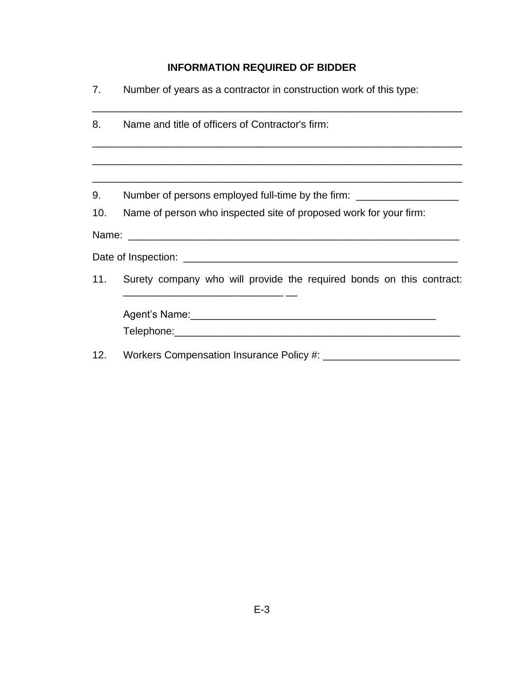| 7.  | Number of years as a contractor in construction work of this type:                                                                                                                           |  |  |  |
|-----|----------------------------------------------------------------------------------------------------------------------------------------------------------------------------------------------|--|--|--|
| 8.  | Name and title of officers of Contractor's firm:                                                                                                                                             |  |  |  |
|     |                                                                                                                                                                                              |  |  |  |
| 9.  | Number of persons employed full-time by the firm: ______________________________                                                                                                             |  |  |  |
| 10. | Name of person who inspected site of proposed work for your firm:                                                                                                                            |  |  |  |
|     |                                                                                                                                                                                              |  |  |  |
|     |                                                                                                                                                                                              |  |  |  |
| 11. | Surety company who will provide the required bonds on this contract:<br><u> 1989 - Johann John Stone, markin film yn y brening yn y brening yn y brening yn y brening yn y brening y bre</u> |  |  |  |
|     |                                                                                                                                                                                              |  |  |  |
|     |                                                                                                                                                                                              |  |  |  |
| 12. |                                                                                                                                                                                              |  |  |  |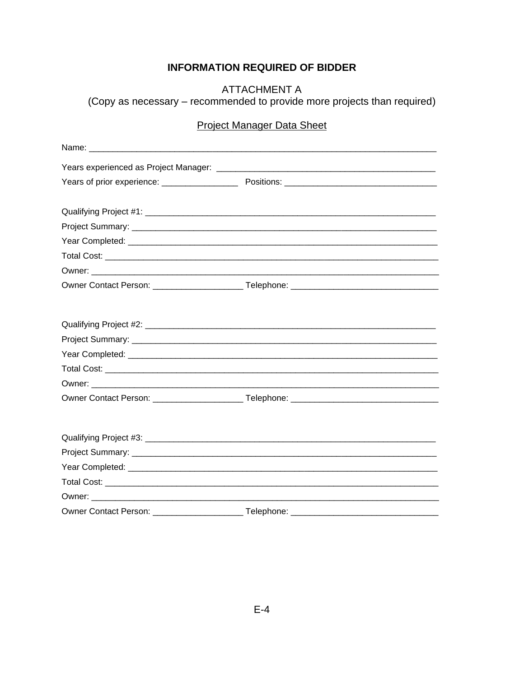**ATTACHMENT A** (Copy as necessary - recommended to provide more projects than required)

# **Project Manager Data Sheet**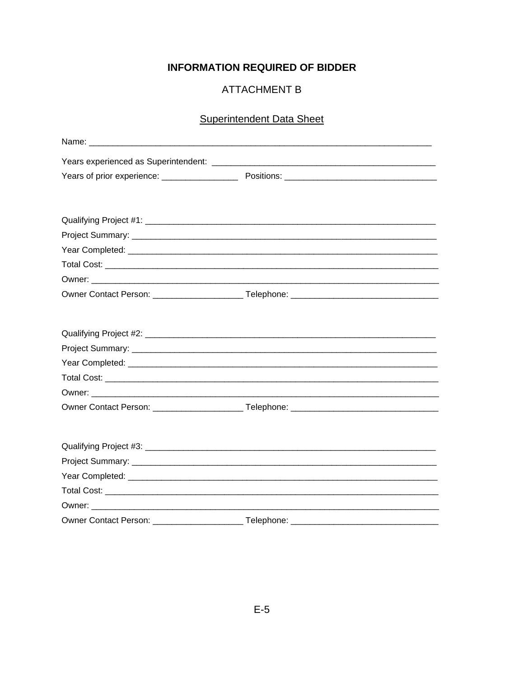# **ATTACHMENT B**

# **Superintendent Data Sheet**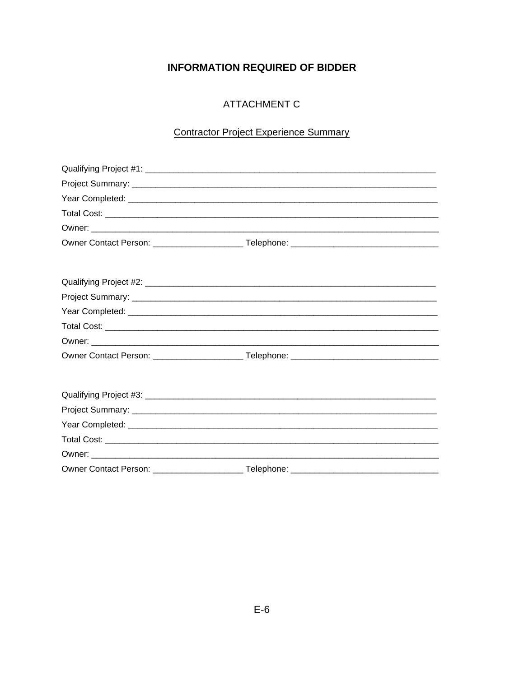# **ATTACHMENT C**

# **Contractor Project Experience Summary**

| Owner Contact Person: _______________ | Telephone: |  |
|---------------------------------------|------------|--|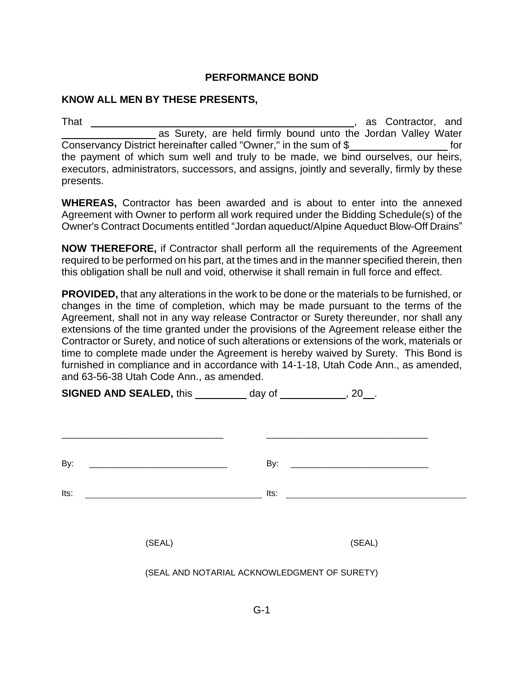#### **PERFORMANCE BOND**

#### **KNOW ALL MEN BY THESE PRESENTS,**

That , as Contractor, and as Surety, are held firmly bound unto the Jordan Valley Water Conservancy District hereinafter called "Owner," in the sum of \$ for the payment of which sum well and truly to be made, we bind ourselves, our heirs, executors, administrators, successors, and assigns, jointly and severally, firmly by these presents.

**WHEREAS,** Contractor has been awarded and is about to enter into the annexed Agreement with Owner to perform all work required under the Bidding Schedule(s) of the Owner's Contract Documents entitled "Jordan aqueduct/Alpine Aqueduct Blow-Off Drains"

**NOW THEREFORE,** if Contractor shall perform all the requirements of the Agreement required to be performed on his part, at the times and in the manner specified therein, then this obligation shall be null and void, otherwise it shall remain in full force and effect.

**PROVIDED,** that any alterations in the work to be done or the materials to be furnished, or changes in the time of completion, which may be made pursuant to the terms of the Agreement, shall not in any way release Contractor or Surety thereunder, nor shall any extensions of the time granted under the provisions of the Agreement release either the Contractor or Surety, and notice of such alterations or extensions of the work, materials or time to complete made under the Agreement is hereby waived by Surety. This Bond is furnished in compliance and in accordance with 14-1-18, Utah Code Ann., as amended, and 63-56-38 Utah Code Ann., as amended.

| <b>SIGNED AND SEALED, this ___________ day of _____________, 20__.</b>  |      |        |  |
|-------------------------------------------------------------------------|------|--------|--|
|                                                                         |      |        |  |
| By:<br><u> 1980 - Jan James James Barnett, fransk politik (d. 1980)</u> | By:  |        |  |
| Its:                                                                    | Its: |        |  |
| (SEAL)                                                                  |      | (SEAL) |  |
|                                                                         |      |        |  |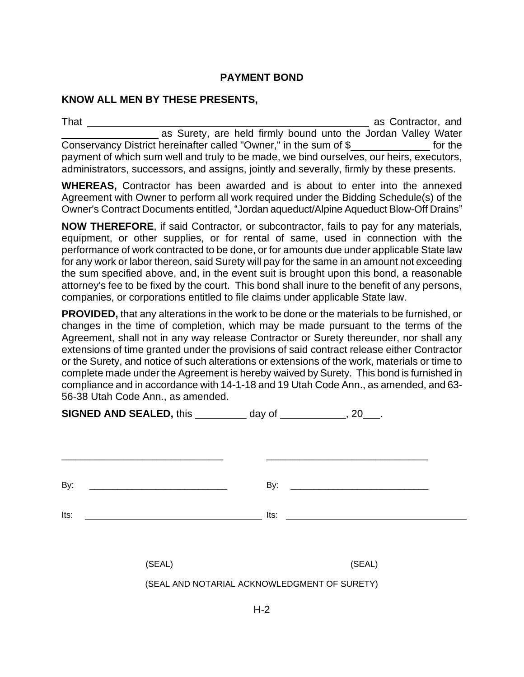# **PAYMENT BOND**

#### **KNOW ALL MEN BY THESE PRESENTS,**

That as Contractor, and as Surety, are held firmly bound unto the Jordan Valley Water Conservancy District hereinafter called "Owner," in the sum of \$ for the payment of which sum well and truly to be made, we bind ourselves, our heirs, executors, administrators, successors, and assigns, jointly and severally, firmly by these presents.

**WHEREAS,** Contractor has been awarded and is about to enter into the annexed Agreement with Owner to perform all work required under the Bidding Schedule(s) of the Owner's Contract Documents entitled, "Jordan aqueduct/Alpine Aqueduct Blow-Off Drains"

**NOW THEREFORE**, if said Contractor, or subcontractor, fails to pay for any materials, equipment, or other supplies, or for rental of same, used in connection with the performance of work contracted to be done, or for amounts due under applicable State law for any work or labor thereon, said Surety will pay for the same in an amount not exceeding the sum specified above, and, in the event suit is brought upon this bond, a reasonable attorney's fee to be fixed by the court. This bond shall inure to the benefit of any persons, companies, or corporations entitled to file claims under applicable State law.

**PROVIDED,** that any alterations in the work to be done or the materials to be furnished, or changes in the time of completion, which may be made pursuant to the terms of the Agreement, shall not in any way release Contractor or Surety thereunder, nor shall any extensions of time granted under the provisions of said contract release either Contractor or the Surety, and notice of such alterations or extensions of the work, materials or time to complete made under the Agreement is hereby waived by Surety. This bond is furnished in compliance and in accordance with 14-1-18 and 19 Utah Code Ann., as amended, and 63- 56-38 Utah Code Ann., as amended.

| <b>SIGNED AND SEALED, this ___________ day of ______________, 20____.</b> |                                            |  |
|---------------------------------------------------------------------------|--------------------------------------------|--|
|                                                                           |                                            |  |
| By:                                                                       | By:                                        |  |
| Its:<br><u> 1989 - Johann Marie Barn, mars an t-</u>                      | $Its: \begin{array}{c} \hline \end{array}$ |  |
|                                                                           |                                            |  |

(SEAL) (SEAL)

(SEAL AND NOTARIAL ACKNOWLEDGMENT OF SURETY)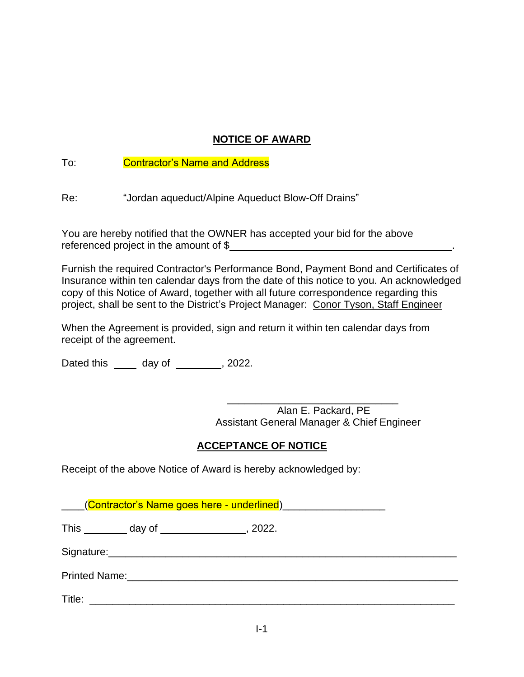# **NOTICE OF AWARD**

# To: Contractor's Name and Address

Re: "Jordan aqueduct/Alpine Aqueduct Blow-Off Drains"

You are hereby notified that the OWNER has accepted your bid for the above referenced project in the amount of \$

Furnish the required Contractor's Performance Bond, Payment Bond and Certificates of Insurance within ten calendar days from the date of this notice to you. An acknowledged copy of this Notice of Award, together with all future correspondence regarding this project, shall be sent to the District's Project Manager: Conor Tyson, Staff Engineer

When the Agreement is provided, sign and return it within ten calendar days from receipt of the agreement.

Dated this  $\frac{1}{2}$  day of  $\frac{1}{2}$ , 2022.

\_\_\_\_\_\_\_\_\_\_\_\_\_\_\_\_\_\_\_\_\_\_\_\_\_\_\_\_\_\_ Alan E. Packard, PE Assistant General Manager & Chief Engineer

# **ACCEPTANCE OF NOTICE**

Receipt of the above Notice of Award is hereby acknowledged by:

(Contractor's Name goes here - underlined)

This day of , 2022.

Signature:\_\_\_\_\_\_\_\_\_\_\_\_\_\_\_\_\_\_\_\_\_\_\_\_\_\_\_\_\_\_\_\_\_\_\_\_\_\_\_\_\_\_\_\_\_\_\_\_\_\_\_\_\_\_\_\_\_\_\_\_\_

Printed Name:  $\Box$ 

Title: \_\_\_\_\_\_\_\_\_\_\_\_\_\_\_\_\_\_\_\_\_\_\_\_\_\_\_\_\_\_\_\_\_\_\_\_\_\_\_\_\_\_\_\_\_\_\_\_\_\_\_\_\_\_\_\_\_\_\_\_\_\_\_\_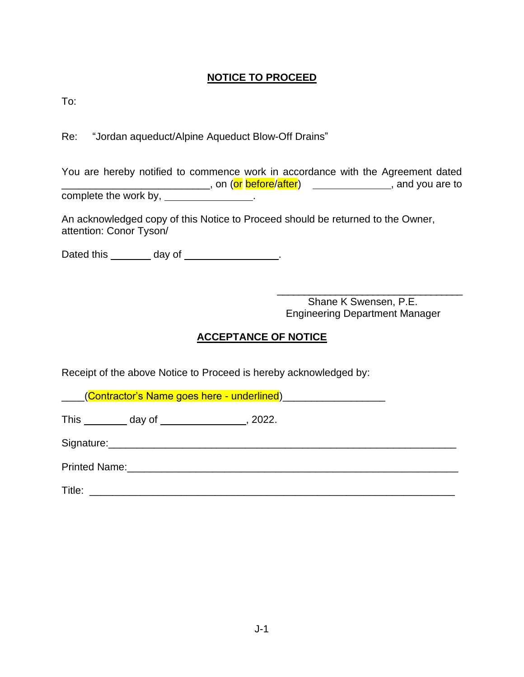# **NOTICE TO PROCEED**

To:

Re: "Jordan aqueduct/Alpine Aqueduct Blow-Off Drains"

You are hereby notified to commence work in accordance with the Agreement dated \_\_\_\_\_\_\_\_\_\_\_\_\_\_\_\_\_\_\_\_\_\_\_, on (<mark>or before/after</mark>) , \_\_\_\_\_\_\_\_\_\_\_\_\_\_\_\_\_\_, and you are to complete the work by,

An acknowledged copy of this Notice to Proceed should be returned to the Owner, attention: Conor Tyson/

Dated this \_\_\_\_\_\_\_ day of \_\_\_\_\_\_\_\_\_\_\_\_\_\_.

\_\_\_\_\_\_\_\_\_\_\_\_\_\_\_\_\_\_\_\_\_\_\_\_\_\_\_\_\_\_\_\_\_\_\_ Shane K Swensen, P.E. Engineering Department Manager

# **ACCEPTANCE OF NOTICE**

Receipt of the above Notice to Proceed is hereby acknowledged by:

(Contractor's Name goes here - underlined) This day of , 2022. Signature:\_\_\_\_\_\_\_\_\_\_\_\_\_\_\_\_\_\_\_\_\_\_\_\_\_\_\_\_\_\_\_\_\_\_\_\_\_\_\_\_\_\_\_\_\_\_\_\_\_\_\_\_\_\_\_\_\_\_\_\_\_ Printed Name:\_\_\_\_\_\_\_\_\_\_\_\_\_\_\_\_\_\_\_\_\_\_\_\_\_\_\_\_\_\_\_\_\_\_\_\_\_\_\_\_\_\_\_\_\_\_\_\_\_\_\_\_\_\_\_\_\_\_

Title: \_\_\_\_\_\_\_\_\_\_\_\_\_\_\_\_\_\_\_\_\_\_\_\_\_\_\_\_\_\_\_\_\_\_\_\_\_\_\_\_\_\_\_\_\_\_\_\_\_\_\_\_\_\_\_\_\_\_\_\_\_\_\_\_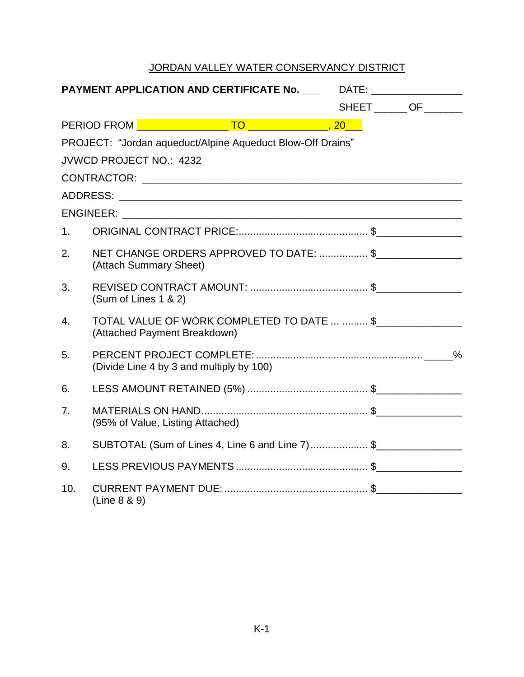|                | PAYMENT APPLICATION AND CERTIFICATE No. _______ DATE: _______________      |                         |
|----------------|----------------------------------------------------------------------------|-------------------------|
|                |                                                                            | SHEET _______ OF ______ |
|                |                                                                            |                         |
|                | PROJECT: "Jordan aqueduct/Alpine Aqueduct Blow-Off Drains"                 |                         |
|                | <b>JVWCD PROJECT NO.: 4232</b>                                             |                         |
|                |                                                                            |                         |
|                |                                                                            |                         |
|                |                                                                            |                         |
| 1.             |                                                                            |                         |
| 2.             | NET CHANGE ORDERS APPROVED TO DATE: \$<br>(Attach Summary Sheet)           |                         |
| 3.             | (Sum of Lines 1 & 2)                                                       |                         |
| 4.             | TOTAL VALUE OF WORK COMPLETED TO DATE   \$<br>(Attached Payment Breakdown) |                         |
| 5.             | (Divide Line 4 by 3 and multiply by 100)                                   |                         |
| 6.             |                                                                            |                         |
| 7 <sub>1</sub> | (95% of Value, Listing Attached)                                           |                         |
| 8.             | SUBTOTAL (Sum of Lines 4, Line 6 and Line 7) \$                            |                         |
| 9.             |                                                                            |                         |
| 10.            | (Line 8 & 9)                                                               |                         |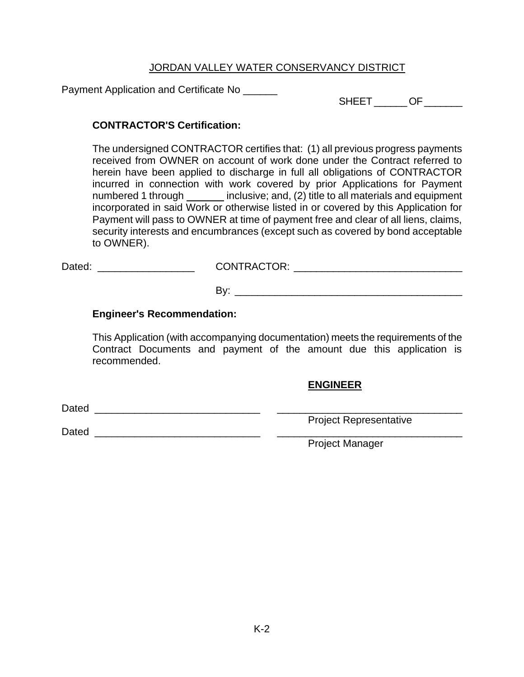Payment Application and Certificate No \_\_\_\_\_\_

SHEET \_\_\_\_\_\_\_ OF \_\_\_\_\_\_\_

# **CONTRACTOR'S Certification:**

The undersigned CONTRACTOR certifies that: (1) all previous progress payments received from OWNER on account of work done under the Contract referred to herein have been applied to discharge in full all obligations of CONTRACTOR incurred in connection with work covered by prior Applications for Payment numbered 1 through inclusive; and, (2) title to all materials and equipment incorporated in said Work or otherwise listed in or covered by this Application for Payment will pass to OWNER at time of payment free and clear of all liens, claims, security interests and encumbrances (except such as covered by bond acceptable to OWNER).

| Dated: | <b>CONTRACTOR:</b> |
|--------|--------------------|
|        |                    |

By: \_\_\_\_\_\_\_\_\_\_\_\_\_\_\_\_\_\_\_\_\_\_\_\_\_\_\_\_\_\_\_\_\_\_\_\_\_\_\_\_

# **Engineer's Recommendation:**

This Application (with accompanying documentation) meets the requirements of the Contract Documents and payment of the amount due this application is recommended.

# **ENGINEER**

Dated \_\_\_\_\_\_\_\_\_\_\_\_\_\_\_\_\_\_\_\_\_\_\_\_\_\_\_\_\_ \_\_\_\_\_\_\_\_\_\_\_\_\_\_\_\_\_\_\_\_\_\_\_\_\_\_\_\_\_\_\_\_\_

Dated \_\_\_\_\_\_\_\_\_\_\_\_\_\_\_\_\_\_\_\_\_\_\_\_\_\_\_\_\_ \_\_\_\_\_\_\_\_\_\_\_\_\_\_\_\_\_\_\_\_\_\_\_\_\_\_\_\_\_\_\_\_\_

Project Manager

Project Representative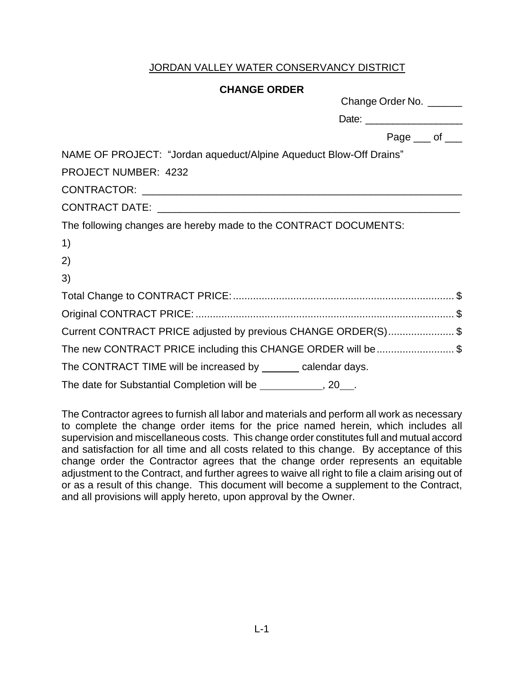#### **CHANGE ORDER**

| Change Order No. ______                                            |
|--------------------------------------------------------------------|
| Date: _________________________                                    |
| Page $\_\$ of $\_\_$                                               |
| NAME OF PROJECT: "Jordan aqueduct/Alpine Aqueduct Blow-Off Drains" |
| PROJECT NUMBER: 4232                                               |
|                                                                    |
|                                                                    |
| The following changes are hereby made to the CONTRACT DOCUMENTS:   |
| 1)                                                                 |
| 2)                                                                 |
| 3)                                                                 |
|                                                                    |
|                                                                    |
| Current CONTRACT PRICE adjusted by previous CHANGE ORDER(S) \$     |
| The new CONTRACT PRICE including this CHANGE ORDER will be\$       |
| The CONTRACT TIME will be increased by _______ calendar days.      |
| The date for Substantial Completion will be _____________, 20___.  |

1) 2)

3)

The Contractor agrees to furnish all labor and materials and perform all work as necessary to complete the change order items for the price named herein, which includes all supervision and miscellaneous costs. This change order constitutes full and mutual accord and satisfaction for all time and all costs related to this change. By acceptance of this change order the Contractor agrees that the change order represents an equitable adjustment to the Contract, and further agrees to waive all right to file a claim arising out of or as a result of this change. This document will become a supplement to the Contract, and all provisions will apply hereto, upon approval by the Owner.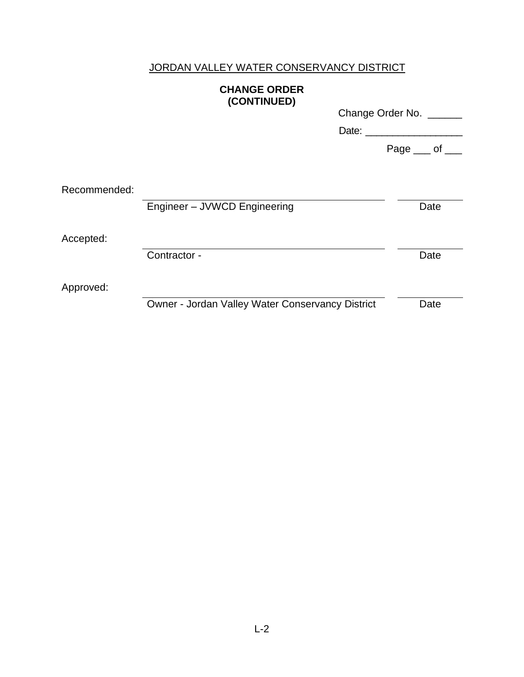# **CHANGE ORDER (CONTINUED)**

|              | $\sqrt{2}$                                       | Change Order No. ______<br>Date: |            |      |
|--------------|--------------------------------------------------|----------------------------------|------------|------|
|              |                                                  |                                  | Page __ of |      |
| Recommended: | Engineer - JVWCD Engineering                     |                                  |            | Date |
| Accepted:    | Contractor -                                     |                                  |            | Date |
| Approved:    | Owner - Jordan Valley Water Conservancy District |                                  |            | Date |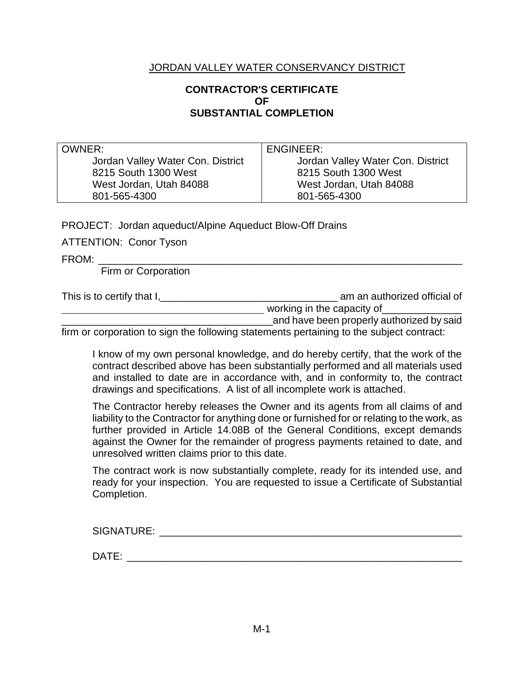# **CONTRACTOR'S CERTIFICATE OF SUBSTANTIAL COMPLETION**

OWNER: Jordan Valley Water Con. District 8215 South 1300 West West Jordan, Utah 84088 801-565-4300

ENGINEER:

Jordan Valley Water Con. District 8215 South 1300 West West Jordan, Utah 84088 801-565-4300

PROJECT: Jordan aqueduct/Alpine Aqueduct Blow-Off Drains

ATTENTION: Conor Tyson

FROM: \_\_\_\_\_\_\_\_\_\_\_\_\_\_\_\_\_\_\_\_\_\_\_\_\_\_\_\_\_\_\_\_\_\_\_\_\_\_\_\_\_\_\_\_\_\_\_\_\_\_\_\_\_\_\_\_\_\_\_\_\_\_\_\_\_

Firm or Corporation

This is to certify that  $I_{1}$  am an authorized official of working in the capacity of and have been properly authorized by said

firm or corporation to sign the following statements pertaining to the subject contract:

I know of my own personal knowledge, and do hereby certify, that the work of the contract described above has been substantially performed and all materials used and installed to date are in accordance with, and in conformity to, the contract drawings and specifications. A list of all incomplete work is attached.

The Contractor hereby releases the Owner and its agents from all claims of and liability to the Contractor for anything done or furnished for or relating to the work, as further provided in Article 14.08B of the General Conditions, except demands against the Owner for the remainder of progress payments retained to date, and unresolved written claims prior to this date.

The contract work is now substantially complete, ready for its intended use, and ready for your inspection. You are requested to issue a Certificate of Substantial Completion.

| SIGNATURE: |  |  |  |
|------------|--|--|--|
|            |  |  |  |
| DATF:      |  |  |  |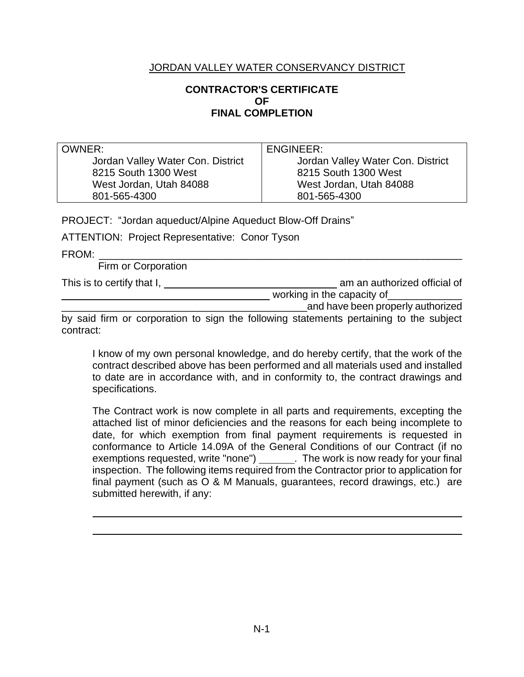# **CONTRACTOR'S CERTIFICATE OF FINAL COMPLETION**

| OWNER:                            | ENGINEER:                         |
|-----------------------------------|-----------------------------------|
| Jordan Valley Water Con. District | Jordan Valley Water Con. District |
| 8215 South 1300 West              | 8215 South 1300 West              |
| West Jordan, Utah 84088           | West Jordan, Utah 84088           |
| 801-565-4300                      | 801-565-4300                      |

PROJECT: "Jordan aqueduct/Alpine Aqueduct Blow-Off Drains"

ATTENTION: Project Representative: Conor Tyson

FROM: \_\_\_\_\_\_\_\_\_\_\_\_\_\_\_\_\_\_\_\_\_\_\_\_\_\_\_\_\_\_\_\_\_\_\_\_\_\_\_\_\_\_\_\_\_\_\_\_\_\_\_\_\_\_\_\_\_\_\_\_\_\_\_\_

Firm or Corporation

This is to certify that I, am an authorized official of

working in the capacity of example and the capacity of the state of the state of the state of the state of the \_\_\_\_\_\_\_\_\_\_\_\_\_\_\_\_\_\_\_\_\_\_\_\_\_\_\_\_\_\_\_\_\_\_\_\_\_\_\_\_\_\_\_and have been properly authorized

by said firm or corporation to sign the following statements pertaining to the subject contract:

I know of my own personal knowledge, and do hereby certify, that the work of the contract described above has been performed and all materials used and installed to date are in accordance with, and in conformity to, the contract drawings and specifications.

The Contract work is now complete in all parts and requirements, excepting the attached list of minor deficiencies and the reasons for each being incomplete to date, for which exemption from final payment requirements is requested in conformance to Article 14.09A of the General Conditions of our Contract (if no exemptions requested, write "none") . The work is now ready for your final inspection. The following items required from the Contractor prior to application for final payment (such as O & M Manuals, guarantees, record drawings, etc.) are submitted herewith, if any: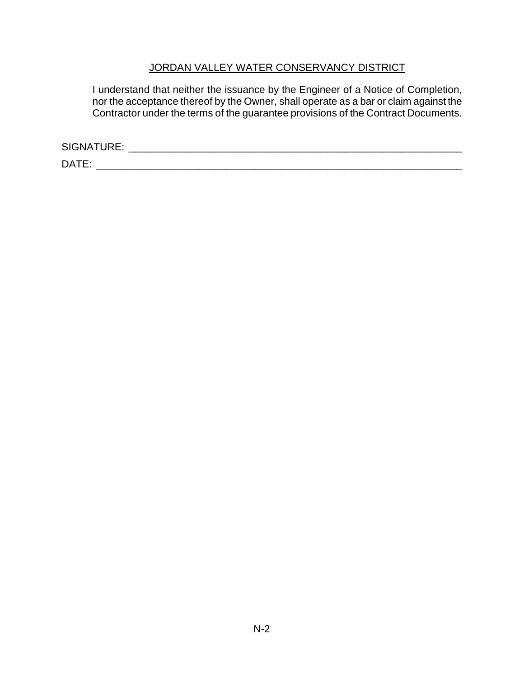I understand that neither the issuance by the Engineer of a Notice of Completion, nor the acceptance thereof by the Owner, shall operate as a bar or claim against the Contractor under the terms of the guarantee provisions of the Contract Documents.

SIGNATURE: \_\_\_\_\_\_\_\_\_\_\_\_\_\_\_\_\_\_\_\_\_\_\_\_\_\_\_\_\_\_\_\_\_\_\_\_\_\_\_\_\_\_\_\_\_\_\_\_\_\_\_\_\_\_\_\_\_\_\_

DATE: \_\_\_\_\_\_\_\_\_\_\_\_\_\_\_\_\_\_\_\_\_\_\_\_\_\_\_\_\_\_\_\_\_\_\_\_\_\_\_\_\_\_\_\_\_\_\_\_\_\_\_\_\_\_\_\_\_\_\_\_\_\_\_\_\_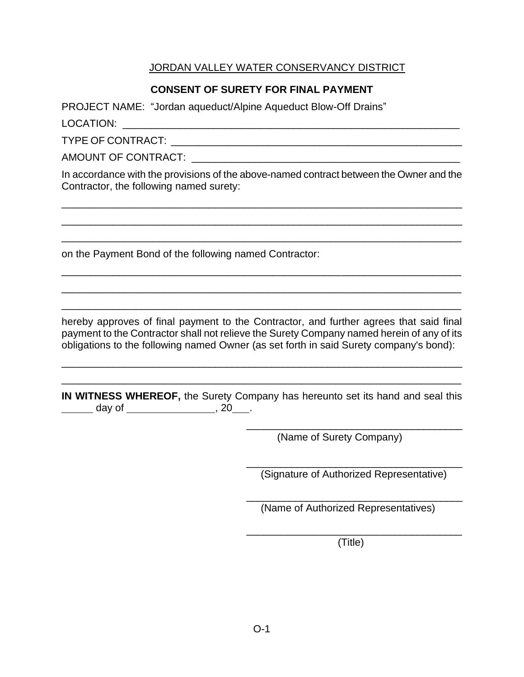# **CONSENT OF SURETY FOR FINAL PAYMENT**

PROJECT NAME: "Jordan aqueduct/Alpine Aqueduct Blow-Off Drains"

LOCATION: \_\_\_\_\_\_\_\_\_\_\_\_\_\_\_\_\_\_\_\_\_\_\_\_\_\_\_\_\_\_\_\_\_\_\_\_\_\_\_\_\_\_\_\_\_\_\_\_\_\_\_\_\_\_\_\_\_\_\_

TYPE OF CONTRACT: \_\_\_\_\_\_\_\_\_\_\_\_\_\_\_\_\_\_\_\_\_\_\_\_\_\_\_\_\_\_\_\_\_\_\_\_\_\_\_\_\_\_\_\_\_\_\_\_\_\_\_

AMOUNT OF CONTRACT: **Example 20** 

In accordance with the provisions of the above-named contract between the Owner and the Contractor, the following named surety:

\_\_\_\_\_\_\_\_\_\_\_\_\_\_\_\_\_\_\_\_\_\_\_\_\_\_\_\_\_\_\_\_\_\_\_\_\_\_\_\_\_\_\_\_\_\_\_\_\_\_\_\_\_\_\_\_\_\_\_\_\_\_\_\_\_\_\_\_\_\_\_ \_\_\_\_\_\_\_\_\_\_\_\_\_\_\_\_\_\_\_\_\_\_\_\_\_\_\_\_\_\_\_\_\_\_\_\_\_\_\_\_\_\_\_\_\_\_\_\_\_\_\_\_\_\_\_\_\_\_\_\_\_\_\_\_\_\_\_\_\_\_\_ \_\_\_\_\_\_\_\_\_\_\_\_\_\_\_\_\_\_\_\_\_\_\_\_\_\_\_\_\_\_\_\_\_\_\_\_\_\_\_\_\_\_\_\_\_\_\_\_\_\_\_\_\_\_\_\_\_\_\_\_\_\_\_\_\_\_\_\_\_\_

on the Payment Bond of the following named Contractor:

hereby approves of final payment to the Contractor, and further agrees that said final payment to the Contractor shall not relieve the Surety Company named herein of any of its obligations to the following named Owner (as set forth in said Surety company's bond):

\_\_\_\_\_\_\_\_\_\_\_\_\_\_\_\_\_\_\_\_\_\_\_\_\_\_\_\_\_\_\_\_\_\_\_\_\_\_\_\_\_\_\_\_\_\_\_\_\_\_\_\_\_\_\_\_\_\_\_\_\_\_\_\_\_\_\_\_\_\_\_ \_\_\_\_\_\_\_\_\_\_\_\_\_\_\_\_\_\_\_\_\_\_\_\_\_\_\_\_\_\_\_\_\_\_\_\_\_\_\_\_\_\_\_\_\_\_\_\_\_\_\_\_\_\_\_\_\_\_\_\_\_\_\_\_\_\_\_\_\_\_

\_\_\_\_\_\_\_\_\_\_\_\_\_\_\_\_\_\_\_\_\_\_\_\_\_\_\_\_\_\_\_\_\_\_\_\_\_\_\_\_\_\_\_\_\_\_\_\_\_\_\_\_\_\_\_\_\_\_\_\_\_\_\_\_\_\_\_\_\_\_ \_\_\_\_\_\_\_\_\_\_\_\_\_\_\_\_\_\_\_\_\_\_\_\_\_\_\_\_\_\_\_\_\_\_\_\_\_\_\_\_\_\_\_\_\_\_\_\_\_\_\_\_\_\_\_\_\_\_\_\_\_\_\_\_\_\_\_\_\_\_ \_\_\_\_\_\_\_\_\_\_\_\_\_\_\_\_\_\_\_\_\_\_\_\_\_\_\_\_\_\_\_\_\_\_\_\_\_\_\_\_\_\_\_\_\_\_\_\_\_\_\_\_\_\_\_\_\_\_\_\_\_\_\_\_\_\_\_\_\_\_

**IN WITNESS WHEREOF,** the Surety Company has hereunto set its hand and seal this \_\_\_\_\_\_ day of \_\_\_\_\_\_\_\_\_\_\_\_\_\_\_\_\_, 20\_\_\_.

(Name of Surety Company)

\_\_\_\_\_\_\_\_\_\_\_\_\_\_\_\_\_\_\_\_\_\_\_\_\_\_\_\_\_\_\_\_\_\_\_\_\_\_\_ (Signature of Authorized Representative)

\_\_\_\_\_\_\_\_\_\_\_\_\_\_\_\_\_\_\_\_\_\_\_\_\_\_\_\_\_\_\_\_\_\_\_\_\_\_\_

\_\_\_\_\_\_\_\_\_\_\_\_\_\_\_\_\_\_\_\_\_\_\_\_\_\_\_\_\_\_\_\_\_\_\_\_\_\_\_\_ (Name of Authorized Representatives)

\_\_\_\_\_\_\_\_\_\_\_\_\_\_\_\_\_\_\_\_\_\_\_\_\_\_\_\_\_\_\_\_\_\_\_\_\_\_ (Title)